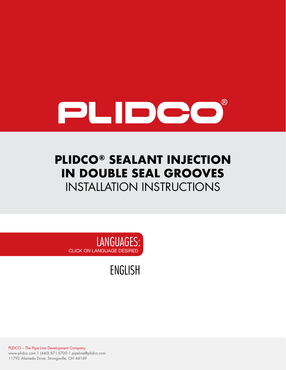

# **PLIDCO® SEALANT INJECTION IN DOUBLE SEAL GROOVES** INSTALLATION INSTRUCTIONS

LANGUAGES: CLICK ON LANGUAGE DESIRED

[ENGLISH](#page-1-0)

PLIDCO – The Pipe Line Development Company www.plidco.com | (440) 871-5700 | pipeline@plidco.com 11792 Alameda Drive, Strongsville, OH 44149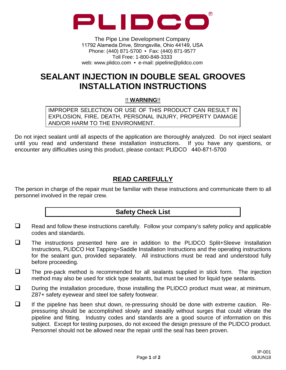<span id="page-1-0"></span>

The Pipe Line Development Company 11792 Alameda Drive, Strongsville, Ohio 44149, USA Phone: (440) 871-5700 • Fax: (440) 871-9577 Toll Free: 1-800-848-3333 web: www.plidco.com • e-mail: pipeline@plidco.com

## **SEALANT INJECTION IN DOUBLE SEAL GROOVES INSTALLATION INSTRUCTIONS**

!! **WARNING**!!

IMPROPER SELECTION OR USE OF THIS PRODUCT CAN RESULT IN EXPLOSION, FIRE, DEATH, PERSONAL INJURY, PROPERTY DAMAGE AND/OR HARM TO THE ENVIRONMENT.

Do not inject sealant until all aspects of the application are thoroughly analyzed. Do not inject sealant until you read and understand these installation instructions. If you have any questions, or encounter any difficulties using this product, please contact: PLIDCO 440-871-5700

### **READ CAREFULLY**

The person in charge of the repair must be familiar with these instructions and communicate them to all personnel involved in the repair crew.

#### **Safety Check List**

- $\Box$  Read and follow these instructions carefully. Follow your company's safety policy and applicable codes and standards.
- The instructions presented here are in addition to the PLIDCO Split+Sleeve Installation Instructions, PLIDCO Hot Tapping+Saddle Installation Instructions and the operating instructions for the sealant gun, provided separately. All instructions must be read and understood fully before proceeding.
- $\Box$  The pre-pack method is recommended for all sealants supplied in stick form. The injection method may also be used for stick type sealants, but must be used for liquid type sealants.
- $\square$  During the installation procedure, those installing the PLIDCO product must wear, at minimum, Z87+ safety eyewear and steel toe safety footwear.
- $\Box$  If the pipeline has been shut down, re-pressuring should be done with extreme caution. Repressuring should be accomplished slowly and steadily without surges that could vibrate the pipeline and fitting. Industry codes and standards are a good source of information on this subject. Except for testing purposes, do not exceed the design pressure of the PLIDCO product. Personnel should not be allowed near the repair until the seal has been proven.